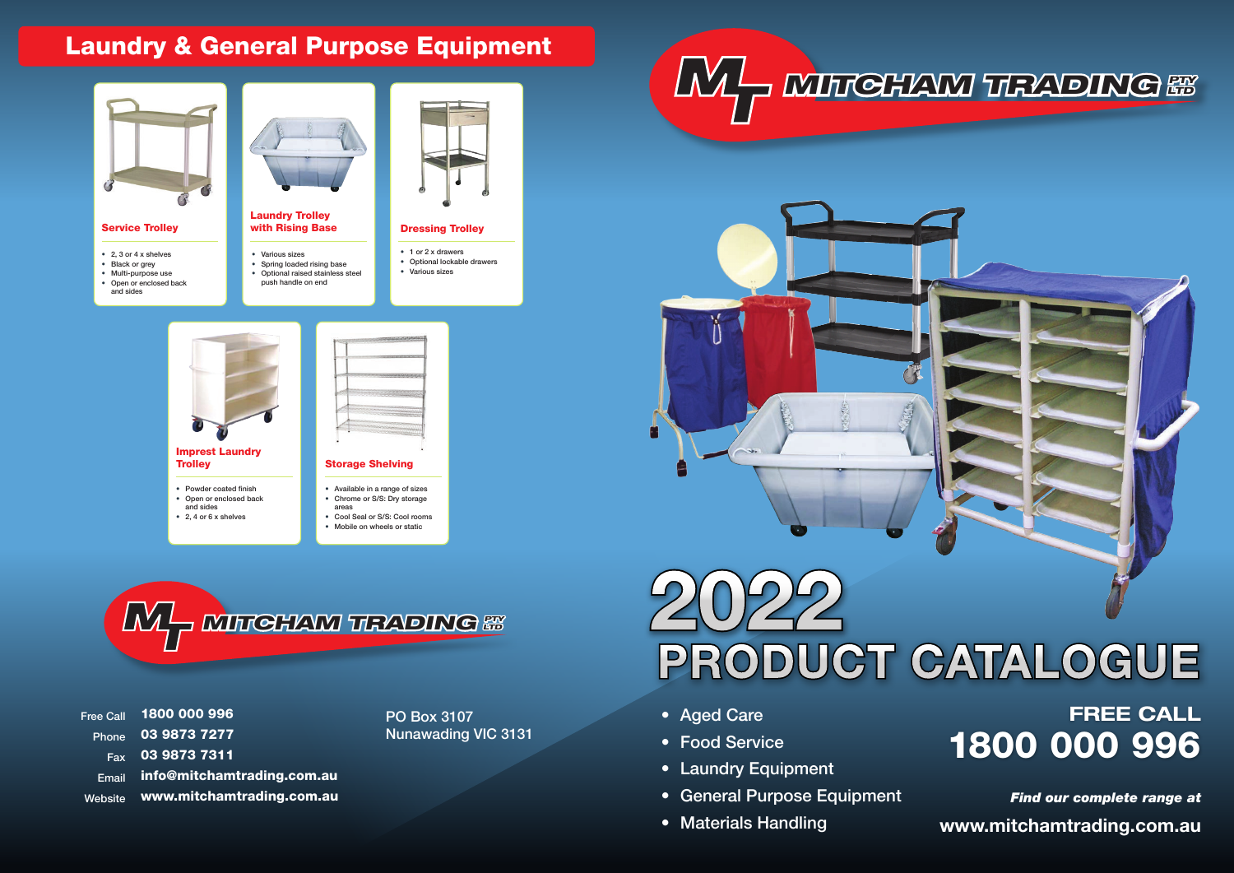## Laundry & General Purpose Equipment

# **FREE CALL** Nunawading VIC 3131 • Food Service 1800 000 996

- Multi-purpose use
- Open or enclosed back
- and sides



Laundry Trolley with Rising Base

- 1 or 2 x drawers
- Optional lockable drawers • Various sizes
- 
- Various sizes
- Spring loaded rising base
- Optional raised stainless steel push handle on end
- 



1800 000 996 03 9873 7277 03 9873 7311 info@mitchamtrading.com.au www.mitchamtrading.com.au Free Call Phone **Fax** Email Website

PO Box 3107





- Aged Care
- Food Service
- Laundry Equipment
- General Purpose Equipment
- 

• Materials Handling **www.mitchamtrading.com.au** *Find our complete range at*



 $L_{\Lambda}$ **MITCHAM TRADING &** 

# **2022 PRODUCT CATALOGUE**